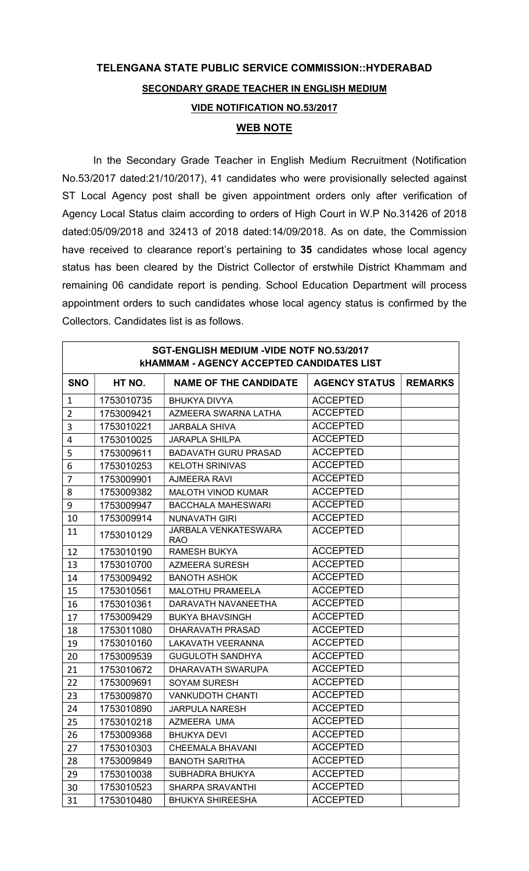## TELENGANA STATE PUBLIC SERVICE COMMISSION::HYDERABAD SECONDARY GRADE TEACHER IN ENGLISH MEDIUM VIDE NOTIFICATION NO.53/2017 WEB NOTE

In the Secondary Grade Teacher in English Medium Recruitment (Notification No.53/2017 dated:21/10/2017), 41 candidates who were provisionally selected against ST Local Agency post shall be given appointment orders only after verification of Agency Local Status claim according to orders of High Court in W.P No.31426 of 2018 dated:05/09/2018 and 32413 of 2018 dated:14/09/2018. As on date, the Commission have received to clearance report's pertaining to 35 candidates whose local agency status has been cleared by the District Collector of erstwhile District Khammam and remaining 06 candidate report is pending. School Education Department will process appointment orders to such candidates whose local agency status is confirmed by the Collectors. Candidates list is as follows.

| SGT-ENGLISH MEDIUM - VIDE NOTF NO.53/2017<br><b>KHAMMAM - AGENCY ACCEPTED CANDIDATES LIST</b> |            |                                           |                      |                |  |
|-----------------------------------------------------------------------------------------------|------------|-------------------------------------------|----------------------|----------------|--|
| <b>SNO</b>                                                                                    | HT NO.     | <b>NAME OF THE CANDIDATE</b>              | <b>AGENCY STATUS</b> | <b>REMARKS</b> |  |
| $\mathbf{1}$                                                                                  | 1753010735 | <b>BHUKYA DIVYA</b>                       | <b>ACCEPTED</b>      |                |  |
| $\overline{2}$                                                                                | 1753009421 | AZMEERA SWARNA LATHA                      | <b>ACCEPTED</b>      |                |  |
| 3                                                                                             | 1753010221 | <b>JARBALA SHIVA</b>                      | <b>ACCEPTED</b>      |                |  |
| 4                                                                                             | 1753010025 | <b>JARAPLA SHILPA</b>                     | <b>ACCEPTED</b>      |                |  |
| 5                                                                                             | 1753009611 | <b>BADAVATH GURU PRASAD</b>               | <b>ACCEPTED</b>      |                |  |
| 6                                                                                             | 1753010253 | <b>KELOTH SRINIVAS</b>                    | <b>ACCEPTED</b>      |                |  |
| $\overline{7}$                                                                                | 1753009901 | <b>AJMEERA RAVI</b>                       | <b>ACCEPTED</b>      |                |  |
| 8                                                                                             | 1753009382 | <b>MALOTH VINOD KUMAR</b>                 | <b>ACCEPTED</b>      |                |  |
| 9                                                                                             | 1753009947 | <b>BACCHALA MAHESWARI</b>                 | <b>ACCEPTED</b>      |                |  |
| 10                                                                                            | 1753009914 | <b>NUNAVATH GIRI</b>                      | <b>ACCEPTED</b>      |                |  |
| 11                                                                                            | 1753010129 | <b>JARBALA VENKATESWARA</b><br><b>RAO</b> | <b>ACCEPTED</b>      |                |  |
| 12                                                                                            | 1753010190 | <b>RAMESH BUKYA</b>                       | <b>ACCEPTED</b>      |                |  |
| 13                                                                                            | 1753010700 | AZMEERA SURESH                            | <b>ACCEPTED</b>      |                |  |
| 14                                                                                            | 1753009492 | <b>BANOTH ASHOK</b>                       | <b>ACCEPTED</b>      |                |  |
| 15                                                                                            | 1753010561 | <b>MALOTHU PRAMEELA</b>                   | <b>ACCEPTED</b>      |                |  |
| 16                                                                                            | 1753010361 | DARAVATH NAVANEETHA                       | <b>ACCEPTED</b>      |                |  |
| 17                                                                                            | 1753009429 | <b>BUKYA BHAVSINGH</b>                    | <b>ACCEPTED</b>      |                |  |
| 18                                                                                            | 1753011080 | DHARAVATH PRASAD                          | <b>ACCEPTED</b>      |                |  |
| 19                                                                                            | 1753010160 | <b>LAKAVATH VEERANNA</b>                  | <b>ACCEPTED</b>      |                |  |
| 20                                                                                            | 1753009539 | <b>GUGULOTH SANDHYA</b>                   | <b>ACCEPTED</b>      |                |  |
| 21                                                                                            | 1753010672 | DHARAVATH SWARUPA                         | <b>ACCEPTED</b>      |                |  |
| 22                                                                                            | 1753009691 | <b>SOYAM SURESH</b>                       | <b>ACCEPTED</b>      |                |  |
| 23                                                                                            | 1753009870 | <b>VANKUDOTH CHANTI</b>                   | <b>ACCEPTED</b>      |                |  |
| 24                                                                                            | 1753010890 | <b>JARPULA NARESH</b>                     | <b>ACCEPTED</b>      |                |  |
| 25                                                                                            | 1753010218 | AZMEERA UMA                               | <b>ACCEPTED</b>      |                |  |
| 26                                                                                            | 1753009368 | <b>BHUKYA DEVI</b>                        | <b>ACCEPTED</b>      |                |  |
| 27                                                                                            | 1753010303 | <b>CHEEMALA BHAVANI</b>                   | <b>ACCEPTED</b>      |                |  |
| 28                                                                                            | 1753009849 | <b>BANOTH SARITHA</b>                     | <b>ACCEPTED</b>      |                |  |
| 29                                                                                            | 1753010038 | SUBHADRA BHUKYA                           | <b>ACCEPTED</b>      |                |  |
| 30                                                                                            | 1753010523 | SHARPA SRAVANTHI                          | <b>ACCEPTED</b>      |                |  |
| 31                                                                                            | 1753010480 | <b>BHUKYA SHIREESHA</b>                   | <b>ACCEPTED</b>      |                |  |